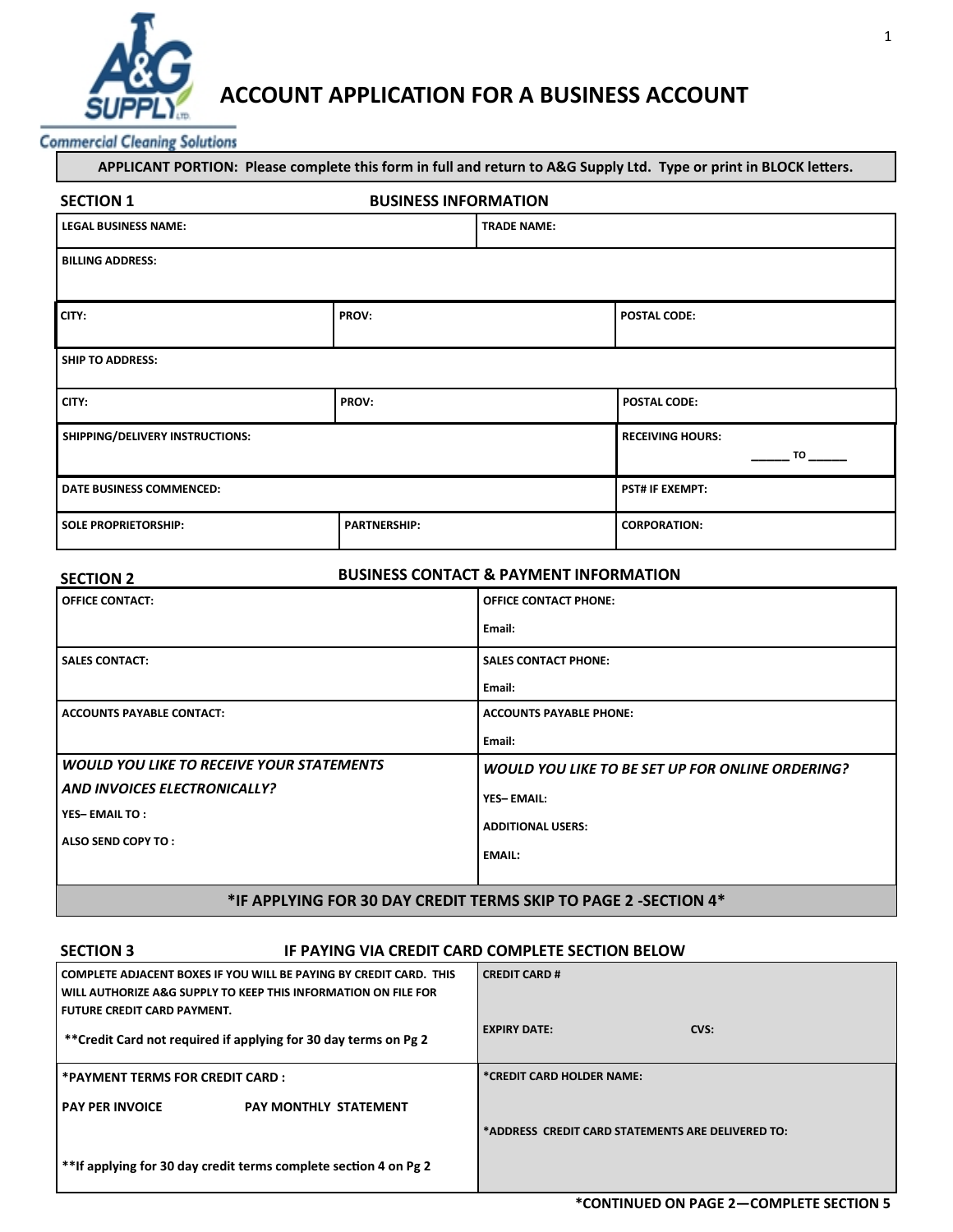

# **ACCOUNT APPLICATION FOR A BUSINESS ACCOUNT**

**Commercial Cleaning Solutions** 

| APPLICANT PORTION: Please complete this form in full and return to A&G Supply Ltd. Type or print in BLOCK letters. |                     |                               |                     |
|--------------------------------------------------------------------------------------------------------------------|---------------------|-------------------------------|---------------------|
| <b>BUSINESS INFORMATION</b><br><b>SECTION 1</b>                                                                    |                     |                               |                     |
| <b>LEGAL BUSINESS NAME:</b>                                                                                        | <b>TRADE NAME:</b>  |                               |                     |
| <b>BILLING ADDRESS:</b>                                                                                            |                     |                               |                     |
| CITY:                                                                                                              | PROV:               |                               | <b>POSTAL CODE:</b> |
| <b>SHIP TO ADDRESS:</b>                                                                                            |                     |                               |                     |
| CITY:                                                                                                              | PROV:               |                               | <b>POSTAL CODE:</b> |
| SHIPPING/DELIVERY INSTRUCTIONS:                                                                                    |                     | <b>RECEIVING HOURS:</b><br>TO |                     |
| <b>DATE BUSINESS COMMENCED:</b>                                                                                    |                     | <b>PST# IF EXEMPT:</b>        |                     |
| <b>SOLE PROPRIETORSHIP:</b>                                                                                        | <b>PARTNERSHIP:</b> |                               | <b>CORPORATION:</b> |

| <b>SECTION 2</b>                                                | <b>BUSINESS CONTACT &amp; PAYMENT INFORMATION</b> |  |
|-----------------------------------------------------------------|---------------------------------------------------|--|
| <b>OFFICE CONTACT:</b>                                          | <b>OFFICE CONTACT PHONE:</b>                      |  |
|                                                                 | Email:                                            |  |
| <b>SALES CONTACT:</b>                                           | <b>SALES CONTACT PHONE:</b>                       |  |
|                                                                 | Email:                                            |  |
| <b>ACCOUNTS PAYABLE CONTACT:</b>                                | <b>ACCOUNTS PAYABLE PHONE:</b>                    |  |
|                                                                 | Email:                                            |  |
| <b>WOULD YOU LIKE TO RECEIVE YOUR STATEMENTS</b>                | WOULD YOU LIKE TO BE SET UP FOR ONLINE ORDERING?  |  |
| AND INVOICES ELECTRONICALLY?                                    | <b>YES-EMAIL:</b>                                 |  |
| <b>YES-EMAIL TO:</b>                                            | <b>ADDITIONAL USERS:</b>                          |  |
| ALSO SEND COPY TO:                                              | <b>EMAIL:</b>                                     |  |
|                                                                 |                                                   |  |
| *IF APPLYING FOR 30 DAY CREDIT TERMS SKIP TO PAGE 2 -SECTION 4* |                                                   |  |

## **SECTION 3 IF PAYING VIA CREDIT CARD COMPLETE SECTION BELOW**

| COMPLETE ADJACENT BOXES IF YOU WILL BE PAYING BY CREDIT CARD. THIS<br>WILL AUTHORIZE A&G SUPPLY TO KEEP THIS INFORMATION ON FILE FOR<br>l FUTURE CREDIT CARD PAYMENT. | <b>CREDIT CARD #</b>                              |
|-----------------------------------------------------------------------------------------------------------------------------------------------------------------------|---------------------------------------------------|
| **Credit Card not required if applying for 30 day terms on Pg 2                                                                                                       | <b>EXPIRY DATE:</b><br>CVS:                       |
| *PAYMENT TERMS FOR CREDIT CARD :                                                                                                                                      | *CREDIT CARD HOLDER NAME:                         |
| <b>PAY PER INVOICE</b><br><b>PAY MONTHLY STATEMENT</b>                                                                                                                |                                                   |
|                                                                                                                                                                       | *ADDRESS CREDIT CARD STATEMENTS ARE DELIVERED TO: |
| **If applying for 30 day credit terms complete section 4 on Pg 2                                                                                                      |                                                   |